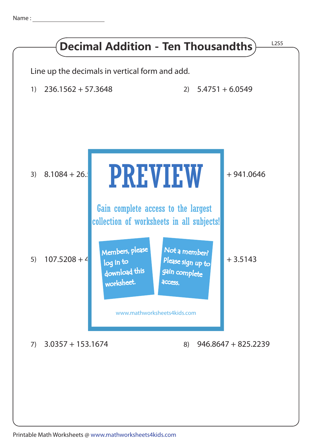